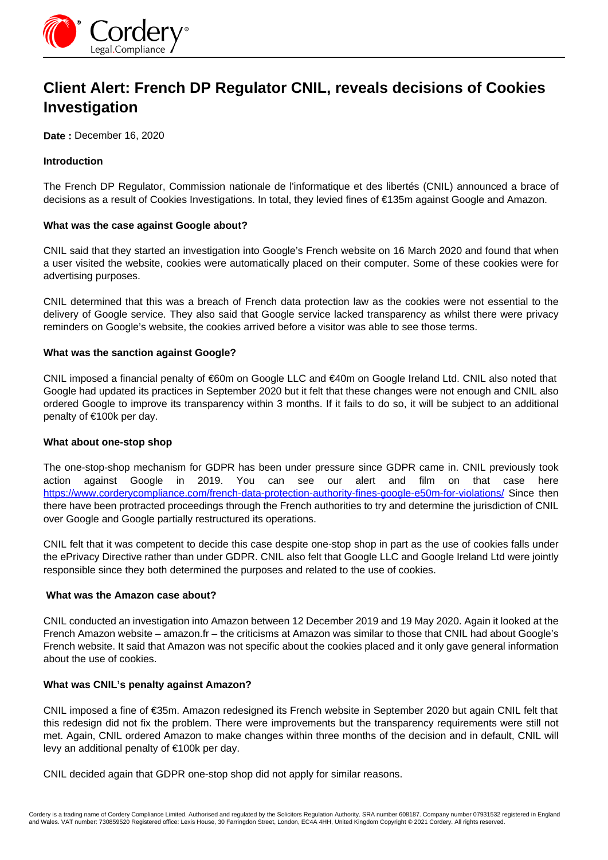

# **Client Alert: French DP Regulator CNIL, reveals decisions of Cookies Investigation**

**Date :** December 16, 2020

## **Introduction**

The French DP Regulator, Commission nationale de l'informatique et des libertés (CNIL) announced a brace of decisions as a result of Cookies Investigations. In total, they levied fines of €135m against Google and Amazon.

### **What was the case against Google about?**

CNIL said that they started an investigation into Google's French website on 16 March 2020 and found that when a user visited the website, cookies were automatically placed on their computer. Some of these cookies were for advertising purposes.

CNIL determined that this was a breach of French data protection law as the cookies were not essential to the delivery of Google service. They also said that Google service lacked transparency as whilst there were privacy reminders on Google's website, the cookies arrived before a visitor was able to see those terms.

### **What was the sanction against Google?**

CNIL imposed a financial penalty of €60m on Google LLC and €40m on Google Ireland Ltd. CNIL also noted that Google had updated its practices in September 2020 but it felt that these changes were not enough and CNIL also ordered Google to improve its transparency within 3 months. If it fails to do so, it will be subject to an additional penalty of €100k per day.

### **What about one-stop shop**

The one-stop-shop mechanism for GDPR has been under pressure since GDPR came in. CNIL previously took action against Google in 2019. You can see our alert and film on that case here <https://www.corderycompliance.com/french-data-protection-authority-fines-google-e50m-for-violations/>Since then there have been protracted proceedings through the French authorities to try and determine the jurisdiction of CNIL over Google and Google partially restructured its operations.

CNIL felt that it was competent to decide this case despite one-stop shop in part as the use of cookies falls under the ePrivacy Directive rather than under GDPR. CNIL also felt that Google LLC and Google Ireland Ltd were jointly responsible since they both determined the purposes and related to the use of cookies.

### **What was the Amazon case about?**

CNIL conducted an investigation into Amazon between 12 December 2019 and 19 May 2020. Again it looked at the French Amazon website – amazon.fr – the criticisms at Amazon was similar to those that CNIL had about Google's French website. It said that Amazon was not specific about the cookies placed and it only gave general information about the use of cookies.

### **What was CNIL's penalty against Amazon?**

CNIL imposed a fine of €35m. Amazon redesigned its French website in September 2020 but again CNIL felt that this redesign did not fix the problem. There were improvements but the transparency requirements were still not met. Again, CNIL ordered Amazon to make changes within three months of the decision and in default, CNIL will levy an additional penalty of €100k per day.

CNIL decided again that GDPR one-stop shop did not apply for similar reasons.